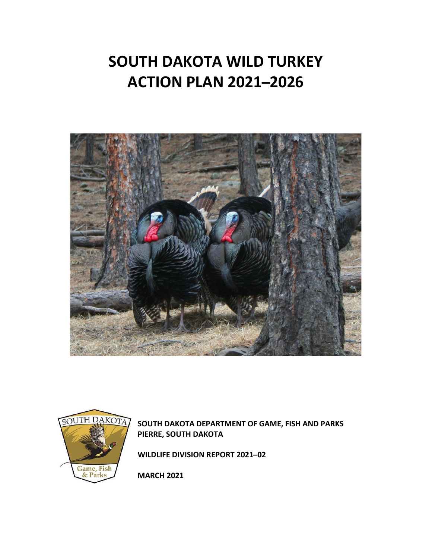# **SOUTH DAKOTA WILD TURKEY ACTION PLAN 2021 ̶2026**





**SOUTH DAKOTA DEPARTMENT OF GAME, FISH AND PARKS PIERRE, SOUTH DAKOTA**

**WILDLIFE DIVISION REPORT 2021-02** 

**MARCH 2021**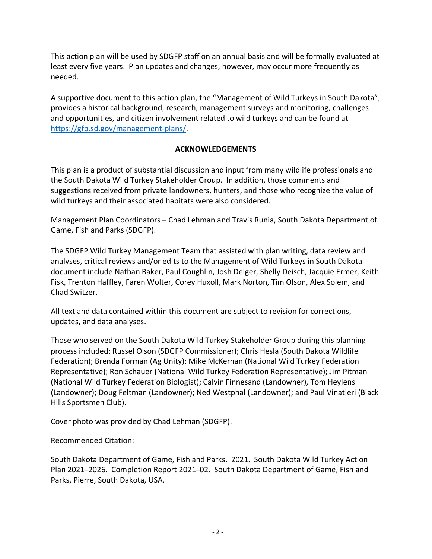This action plan will be used by SDGFP staff on an annual basis and will be formally evaluated at least every five years. Plan updates and changes, however, may occur more frequently as needed.

A supportive document to this action plan, the "Management of Wild Turkeys in South Dakota", provides a historical background, research, management surveys and monitoring, challenges and opportunities, and citizen involvement related to wild turkeys and can be found at [https://gfp.sd.gov/management-plans/.](https://gfp.sd.gov/management-plans/)

## **ACKNOWLEDGEMENTS**

This plan is a product of substantial discussion and input from many wildlife professionals and the South Dakota Wild Turkey Stakeholder Group. In addition, those comments and suggestions received from private landowners, hunters, and those who recognize the value of wild turkeys and their associated habitats were also considered.

Management Plan Coordinators – Chad Lehman and Travis Runia, South Dakota Department of Game, Fish and Parks (SDGFP).

The SDGFP Wild Turkey Management Team that assisted with plan writing, data review and analyses, critical reviews and/or edits to the Management of Wild Turkeys in South Dakota document include Nathan Baker, Paul Coughlin, Josh Delger, Shelly Deisch, Jacquie Ermer, Keith Fisk, Trenton Haffley, Faren Wolter, Corey Huxoll, Mark Norton, Tim Olson, Alex Solem, and Chad Switzer.

All text and data contained within this document are subject to revision for corrections, updates, and data analyses.

Those who served on the South Dakota Wild Turkey Stakeholder Group during this planning process included: Russel Olson (SDGFP Commissioner); Chris Hesla (South Dakota Wildlife Federation); Brenda Forman (Ag Unity); Mike McKernan (National Wild Turkey Federation Representative); Ron Schauer (National Wild Turkey Federation Representative); Jim Pitman (National Wild Turkey Federation Biologist); Calvin Finnesand (Landowner), Tom Heylens (Landowner); Doug Feltman (Landowner); Ned Westphal (Landowner); and Paul Vinatieri (Black Hills Sportsmen Club).

Cover photo was provided by Chad Lehman (SDGFP).

Recommended Citation:

South Dakota Department of Game, Fish and Parks. 2021. South Dakota Wild Turkey Action Plan 2021-2026. Completion Report 2021-02. South Dakota Department of Game, Fish and Parks, Pierre, South Dakota, USA.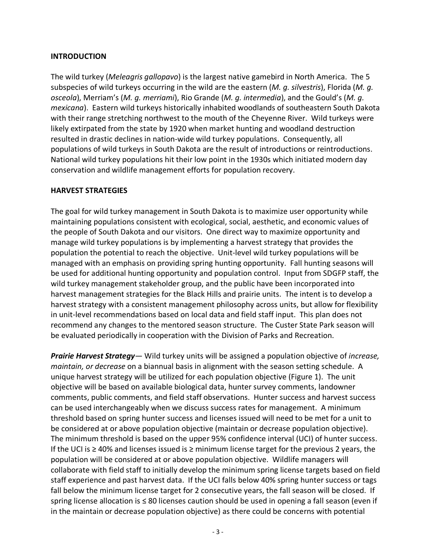### **INTRODUCTION**

The wild turkey (*Meleagris gallopavo*) is the largest native gamebird in North America. The 5 subspecies of wild turkeys occurring in the wild are the eastern (*M. g. silvestris*), Florida (*M. g. osceola*), Merriam's (*M. g. merriami*), Rio Grande (*M. g. intermedia*), and the Gould's (*M. g. mexicana*). Eastern wild turkeys historically inhabited woodlands of southeastern South Dakota with their range stretching northwest to the mouth of the Cheyenne River. Wild turkeys were likely extirpated from the state by 1920 when market hunting and woodland destruction resulted in drastic declines in nation-wide wild turkey populations. Consequently, all populations of wild turkeys in South Dakota are the result of introductions or reintroductions. National wild turkey populations hit their low point in the 1930s which initiated modern day conservation and wildlife management efforts for population recovery.

### **HARVEST STRATEGIES**

The goal for wild turkey management in South Dakota is to maximize user opportunity while maintaining populations consistent with ecological, social, aesthetic, and economic values of the people of South Dakota and our visitors. One direct way to maximize opportunity and manage wild turkey populations is by implementing a harvest strategy that provides the population the potential to reach the objective. Unit-level wild turkey populations will be managed with an emphasis on providing spring hunting opportunity. Fall hunting seasons will be used for additional hunting opportunity and population control. Input from SDGFP staff, the wild turkey management stakeholder group, and the public have been incorporated into harvest management strategies for the Black Hills and prairie units. The intent is to develop a harvest strategy with a consistent management philosophy across units, but allow for flexibility in unit-level recommendations based on local data and field staff input. This plan does not recommend any changes to the mentored season structure. The Custer State Park season will be evaluated periodically in cooperation with the Division of Parks and Recreation.

*Prairie Harvest Strategy*— Wild turkey units will be assigned a population objective of *increase, maintain, or decrease* on a biannual basis in alignment with the season setting schedule. A unique harvest strategy will be utilized for each population objective (Figure 1). The unit objective will be based on available biological data, hunter survey comments, landowner comments, public comments, and field staff observations. Hunter success and harvest success can be used interchangeably when we discuss success rates for management. A minimum threshold based on spring hunter success and licenses issued will need to be met for a unit to be considered at or above population objective (maintain or decrease population objective). The minimum threshold is based on the upper 95% confidence interval (UCI) of hunter success. If the UCI is ≥ 40% and licenses issued is ≥ minimum license target for the previous 2 years, the population will be considered at or above population objective. Wildlife managers will collaborate with field staff to initially develop the minimum spring license targets based on field staff experience and past harvest data. If the UCI falls below 40% spring hunter success or tags fall below the minimum license target for 2 consecutive years, the fall season will be closed. If spring license allocation is ≤ 80 licenses caution should be used in opening a fall season (even if in the maintain or decrease population objective) as there could be concerns with potential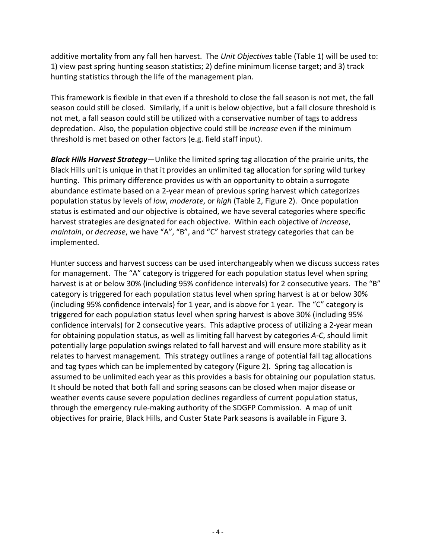additive mortality from any fall hen harvest. The *Unit Objectives* table (Table 1) will be used to: 1) view past spring hunting season statistics; 2) define minimum license target; and 3) track hunting statistics through the life of the management plan.

This framework is flexible in that even if a threshold to close the fall season is not met, the fall season could still be closed. Similarly, if a unit is below objective, but a fall closure threshold is not met, a fall season could still be utilized with a conservative number of tags to address depredation. Also, the population objective could still be *increase* even if the minimum threshold is met based on other factors (e.g. field staff input).

*Black Hills Harvest Strategy*—Unlike the limited spring tag allocation of the prairie units, the Black Hills unit is unique in that it provides an unlimited tag allocation for spring wild turkey hunting. This primary difference provides us with an opportunity to obtain a surrogate abundance estimate based on a 2-year mean of previous spring harvest which categorizes population status by levels of *low*, *moderate*, or *high* (Table 2, Figure 2). Once population status is estimated and our objective is obtained, we have several categories where specific harvest strategies are designated for each objective. Within each objective of *increase*, *maintain*, or *decrease*, we have "A", "B", and "C" harvest strategy categories that can be implemented.

Hunter success and harvest success can be used interchangeably when we discuss success rates for management. The "A" category is triggered for each population status level when spring harvest is at or below 30% (including 95% confidence intervals) for 2 consecutive years. The "B" category is triggered for each population status level when spring harvest is at or below 30% (including 95% confidence intervals) for 1 year, and is above for 1 year. The "C" category is triggered for each population status level when spring harvest is above 30% (including 95% confidence intervals) for 2 consecutive years. This adaptive process of utilizing a 2-year mean for obtaining population status, as well as limiting fall harvest by categories *A-C*, should limit potentially large population swings related to fall harvest and will ensure more stability as it relates to harvest management. This strategy outlines a range of potential fall tag allocations and tag types which can be implemented by category (Figure 2). Spring tag allocation is assumed to be unlimited each year as this provides a basis for obtaining our population status. It should be noted that both fall and spring seasons can be closed when major disease or weather events cause severe population declines regardless of current population status, through the emergency rule-making authority of the SDGFP Commission. A map of unit objectives for prairie, Black Hills, and Custer State Park seasons is available in Figure 3.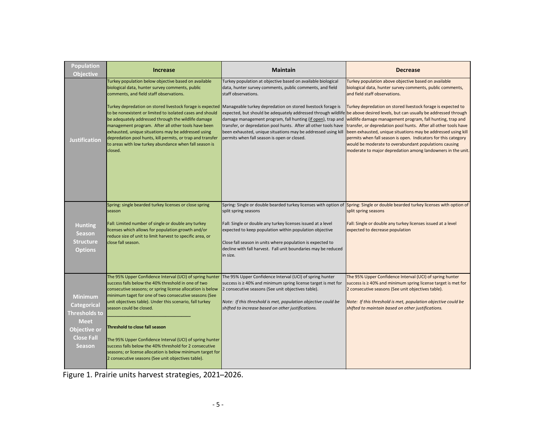| <b>Population</b><br><b>Objective</b>                                                                                      | <b>Increase</b>                                                                                                                                                                                                                                                                                                                                                                                                                                                                                                         | <b>Maintain</b>                                                                                                                                                                                                                                                                                                                                                                                                                                                                                                                                                                                                                                           | <b>Decrease</b>                                                                                                                                                                                                                                                                                                                                                                                                                                                                                                                                                                                                |
|----------------------------------------------------------------------------------------------------------------------------|-------------------------------------------------------------------------------------------------------------------------------------------------------------------------------------------------------------------------------------------------------------------------------------------------------------------------------------------------------------------------------------------------------------------------------------------------------------------------------------------------------------------------|-----------------------------------------------------------------------------------------------------------------------------------------------------------------------------------------------------------------------------------------------------------------------------------------------------------------------------------------------------------------------------------------------------------------------------------------------------------------------------------------------------------------------------------------------------------------------------------------------------------------------------------------------------------|----------------------------------------------------------------------------------------------------------------------------------------------------------------------------------------------------------------------------------------------------------------------------------------------------------------------------------------------------------------------------------------------------------------------------------------------------------------------------------------------------------------------------------------------------------------------------------------------------------------|
| Justification                                                                                                              | Turkey population below objective based on available<br>biological data, hunter survey comments, public<br>comments, and field staff observations.<br>to be nonexistent or limited to isolated cases and should<br>be adequately addressed through the wildlife damage<br>management program. After all other tools have been<br>exhausted, unique situations may be addressed using<br>depredation pool hunts, kill permits, or trap and transfer<br>to areas with low turkey abundance when fall season is<br>closed. | Turkey population at objective based on available biological<br>data, hunter survey comments, public comments, and field<br>staff observations.<br>Turkey depredation on stored livestock forage is expected Manageable turkey depredation on stored livestock forage is<br>expected, but should be adequately addressed through wildlife be above desired levels, but can usually be addressed through<br>damage management program, fall hunting (if open), trap and<br>transfer, or depredation pool hunts. After all other tools have<br>been exhausted, unique situations may be addressed using kill<br>permits when fall season is open or closed. | Turkey population above objective based on available<br>biological data, hunter survey comments, public comments,<br>and field staff observations.<br>Turkey depredation on stored livestock forage is expected to<br>wildlife damage management program, fall hunting, trap and<br>transfer, or depredation pool hunts. After all other tools have<br>been exhausted, unique situations may be addressed using kill<br>permits when fall season is open. Indicators for this category<br>would be moderate to overabundant populations causing<br>moderate to major depredation among landowners in the unit. |
| <b>Hunting</b><br><b>Season</b><br><b>Structure</b><br><b>Options</b>                                                      | Spring: single bearded turkey licenses or close spring<br>season<br>Fall: Limited number of single or double any turkey<br>licenses which allows for population growth and/or<br>reduce size of unit to limit harvest to specific area, or<br>close fall season.                                                                                                                                                                                                                                                        | split spring seasons<br>Fall: Single or double any turkey licenses issued at a level<br>expected to keep population within population objective<br>Close fall season in units where population is expected to<br>decline with fall harvest. Fall unit boundaries may be reduced<br>in size.                                                                                                                                                                                                                                                                                                                                                               | Spring: Single or double bearded turkey licenses with option of Spring: Single or double bearded turkey licenses with option of<br>split spring seasons<br>Fall: Single or double any turkey licenses issued at a level<br>expected to decrease population                                                                                                                                                                                                                                                                                                                                                     |
| <b>Minimum</b><br><b>Categorical</b><br>Thresholds to<br><b>Meet</b><br>Objective or<br><b>Close Fall</b><br><b>Season</b> | success falls below the 40% threshold in one of two<br>consecutive seasons; or spring license allocation is below<br>minimum taget for one of two consecutive seasons (See<br>unit objectives table). Under this scenario, fall turkey<br>season could be closed.                                                                                                                                                                                                                                                       | The 95% Upper Confidence Interval (UCI) of spring hunter The 95% Upper Confidence Interval (UCI) of spring hunter<br>success is $\geq$ 40% and minimum spring license target is met for<br>2 consecutive seasons (See unit objectives table).<br>Note: If this threshold is met, population objective could be<br>shifted to increase based on other justifications.                                                                                                                                                                                                                                                                                      | The 95% Upper Confidence Interval (UCI) of spring hunter<br>success is $\geq$ 40% and minimum spring license target is met for<br>2 consecutive seasons (See unit objectives table).<br>Note: If this threshold is met, population objective could be<br>shifted to maintain based on other justifications.                                                                                                                                                                                                                                                                                                    |
|                                                                                                                            | Threshold to close fall season<br>The 95% Upper Confidence Interval (UCI) of spring hunter<br>success falls below the 40% threshold for 2 consecutive<br>seasons; or license allocation is below minimum target for<br>2 consecutive seasons (See unit objectives table).                                                                                                                                                                                                                                               |                                                                                                                                                                                                                                                                                                                                                                                                                                                                                                                                                                                                                                                           |                                                                                                                                                                                                                                                                                                                                                                                                                                                                                                                                                                                                                |

Figure 1. Prairie units harvest strategies, 2021-2026.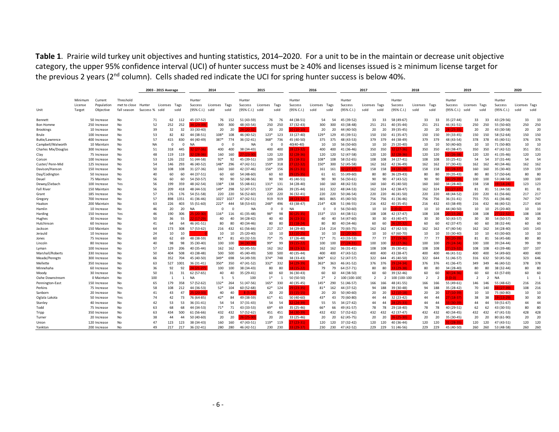**Table 1**. Prairie wild turkey unit objectives and hunting statistics, 2014–2020. For a unit to be in the maintain or decrease unit objective category, the upper 95% confidence interval (UCI) of hunter success must be ≥ 40% and licenses issued is ≥ minimum license target for the previous 2 years (2<sup>nd</sup> column). Cells shaded red indicate the UCI for spring hunter success is below 40%.

|                          |         |                             |                        | 2003 - 2015 Average |                      |                       |                           | 2014           |          |                          | 2015         |                       |                          | 2016         |                      |                          | 2017                  |                       | 2018                 |                      |                                 | 2019                     |                      |                      | 2020                     |                       |          |
|--------------------------|---------|-----------------------------|------------------------|---------------------|----------------------|-----------------------|---------------------------|----------------|----------|--------------------------|--------------|-----------------------|--------------------------|--------------|----------------------|--------------------------|-----------------------|-----------------------|----------------------|----------------------|---------------------------------|--------------------------|----------------------|----------------------|--------------------------|-----------------------|----------|
|                          |         |                             |                        |                     |                      |                       |                           |                |          |                          |              |                       |                          |              |                      |                          |                       |                       |                      |                      |                                 |                          |                      |                      |                          |                       |          |
|                          | Minimum | Current                     | Threshold              |                     |                      |                       | Hunter                    |                |          | Hunter                   |              |                       | Hunter                   |              |                      | Hunter                   |                       |                       | Hunter               |                      |                                 | Hunter                   |                      |                      | Hunter                   |                       |          |
|                          | License | Population                  | met to close           | Hunter              | Licenses Tags        |                       | Success                   | Licenses       | Tags     | Success                  | Licenses     | Tags                  | Success                  | Licenses     | Tags                 | Success                  | Licenses Tags         |                       | Success              | Licenses             | Tags                            | Success                  | Licenses Tags        |                      | Success                  | Licenses Tags         |          |
| Unit                     | Target  | Objective                   | fall season            | Success %<br>sold   |                      | sold                  | (95% C.I.)                | sold           | sold     | (95% C.I.) sold          |              | sold                  | (95% C.I.)               | sold         | sold                 | (95% C.I.)               | sold                  | sold                  | (95% C.I.)           | sold                 | sold                            | (95% C.I.)               | sold<br>sold         |                      | (95% C.I.)               | sold<br>sold          |          |
| Bennett                  |         | 50 Increase                 | No                     | 71                  | 62                   | 112                   | 45 (37-52)                | 76             | 152      | 51 (43-59)               | 76           | 76                    | 44 (38-51)               |              | 54<br>54             | 45 (39-52)               | 33                    | 33                    | 58 (49-67)           | 33                   | 33                              | 35 (27-44)               | 33                   | 33                   | 43 (29-56)               | 33                    | 33       |
| Bon Homme                |         | 250 Increase                | No                     | 52                  | 252                  | 252                   | 4 (29-39)                 | 300            | 300      | 48 (43-54)               | 250          | 250                   | 37 (32-43)               | 300          | 300                  | 43 (38-48)               | 251                   | 251                   | 40 (35-44)           | 251                  | 251                             | 46 (41-51)               | 250                  | 250                  | 55 (50-60)               | 250                   | 250      |
| <b>Brookings</b>         |         | 10 Increase                 | <b>No</b>              | 39                  | 32                   | 32                    | 33 (30-40)                | 20             | 20       | 4 (20-32                 | 20           | 20                    | $(10-10)$                | 20           | 20                   | 44 (40-50)               | 20                    | 20                    | 39 (35-45)           | 20                   | 20                              | 3 (25-35                 | 20                   | 20                   | 43 (30-58)               | 20                    | 20       |
| Brule                    |         | 100 Increase                | No                     | 53                  | 82                   | 82                    | 44 (38-51)                | 108*           | 108      | 46 (40-52)               | $123*$       | 123                   | 33 (27-40)               | 129*         | 129                  | 45 (39-51)               | 150                   | 150                   | 41 (35-47)           | 150                  | 150                             | 39 (33-45)               | 150                  | 150                  | 58 (52-64)               | 150                   | 150      |
| Butte/Lawrence           |         | 400 Increase                | <b>No</b>              | 57                  | 415                  | 830                   | 44 (40-49)                | 387*           | 774      | 36 (32-41)               | 368*         | 736                   | 45 (40-50)               | 375          | 375                  | 48 (43-53)               | 379                   | 379                   | 44 (38-49)           | 379                  | 379                             | 48 (43-54)               | 378                  | 378                  | 45 (40-51)               | 376                   | 376      |
| Campbell/Walworth        |         | 10 Maintain                 | <b>No</b>              | <b>NA</b>           | $\Omega$             | $\mathbf 0$           | <b>NA</b>                 | $\overline{0}$ | $\Omega$ | <b>NA</b>                | $^{\circ}$   | $\overline{0}$        | 40(40-40)                |              | 10<br>10             | 56 (50-60)               | 10                    | 10                    | 25 (20-40)           | 10                   | 10                              | 50 (40-60)               | 10                   | 10                   | 71 (50-80)               | 10                    | 10       |
| Charles Mix/Douglas      |         | 300 Increase                | No                     | 51                  | 318                  | 445                   | $2(27-36)$                | 400            | 400      | 38 (34-43)               | 400          | 400                   | 8 (23-32)                | 400          | 400                  | 41 (36-46)               | 350                   | 350                   | ! (27-36)            | 350                  | 350                             | 43 (38-47)               | 350                  | 350                  | 47 (42-52)               | 351                   | 351      |
| Clay                     |         | 75 Increase                 | <b>No</b>              | 48                  | 119                  | 119                   | $128 - 36$                | 160            | 160      | 7 (23-30                 | 120          | 120                   | $2(28-36)$               | 120          | 120                  | 52 (47-58)               | 120                   | 120                   | $(28-36)$            | 120                  | 120                             | $2(26-38)$               | 120                  | 120                  | 41 (35-46)               | 120                   | 120      |
| Corson                   |         | 100 Increase                | <b>No</b>              | 53                  | 126                  | 232                   | 51 (44-58)                | $92*$          | 92       | 45 (39-51)               | 109          | 109                   | $5(18-31)$               | 108*         | 108                  | 58 (52-65)               | 108                   | 108                   | 34 (27-41)           | 108                  | 108                             | 33 (25-41)               | 54                   | 54                   | 37 (31-44)               | 54                    | 54       |
| Custer/ Penn-Mid         |         | 125 Increase                | <b>No</b>              | 54                  | 146                  | 293                   | 46 (40-52)                | 148*           | 296      | 47 (42-51)               | 159*         | 318                   | $7(22-32)$               | 150*         | 300                  | 52 (45-58)               | 162                   | 162                   | 42 (36-49)           | 162                  | 162                             | 37 (30-43)               | 162                  | 162                  | 40 (34-46)               | 162                   | 162      |
| Davison/Hanson           |         | 150 Increase                | <b>No</b>              | 50                  | 108                  | 108                   | 31 (27-36)                | 160            | 160      | 42 (37-46)               | 156*         | 156                   | $6(21-31)$               | 161          | 161                  | $(27-37)$                | 158                   | 158                   | $(20-28)$            | 158                  | 158                             | 2 (28-37                 | 160                  | 160                  | 35 (30-40)               | 159                   | 159      |
| Day/Codington            |         | 50 Increase                 | No                     | 40                  | 60                   | 60                    | 44 (37-51)                | 60             | 60       | 54 (48-60)               | 60           | 60                    | $(25-35)$                |              | 61<br>61             | 55 (49-60)               | 80                    | 80                    | 36 (29-43)           | 80                   | 80                              | 39 (35-43)               | 80                   | 80                   | 57 (50-64)               | 80                    | 80       |
| Deuel                    |         | 75 Maintain                 | No                     | 56                  | 60                   | 60                    | 54 (50-57)                | 90             | 90       | 52 (48-56)               | 90           | 90                    | 45 (40-51)               |              | 90<br>90             | 56 (50-61)               | 90                    | 90                    | 47 (43-52)           | 90                   | 90                              | $1(29-39)$               | 100                  | 100                  | 53 (48-58)               | 100                   | 100      |
| Dewey/Ziebach            |         | 100 Increase                | Yes                    | 56                  | 199                  | 359                   | 48 (42-54)                | 138*           | 138      | 55 (48-61)               | $131*$       | 131                   | 34 (28-40)               | 160          | 160                  | 48 (42-53)               | 160                   | 160                   | 45 (40-50)           | 160                  | 160                             | 34 (28-40)               | 158                  | 158                  | $(14-24)$                | 123                   | 123      |
| <b>Fall River</b>        |         | 150 Maintain                | <b>No</b>              | 56                  | 209                  | 418                   | 48 (44-53)                | 149*           | 298      | 52 (47-57)               | 133*         | 266                   | 39 (35-44)               | 161          | 322                  | 48 (44-53)               | 162                   | 324                   | 42 (38-47)           | 162                  | 324                             | $127 - 37$               | 81                   | 81                   | 51 (44-58)               | 81                    | 81       |
| Grant                    |         | 185 Increase                | <b>No</b>              | 57                  | 176                  | 176                   | 54 (51-58)                | 220            | 220      | 56 (52-60)               | 220          | 220                   | 36 (32-41)               | 220          | 220                  | 50 (46-54)               | 220                   | 220                   | 46 (41-50)           | 220                  | 220                             | 48 (44-52)               | 220                  | 220                  | 61 (56-66)               | 217<br>217            |          |
| Gregory                  |         | 700 Increase                | <b>No</b>              | 57                  | 898                  | 1351                  | 41 (36-46)                | 1027           | 1027     | 47 (42-51)               | 919          | 919                   | $(23-32)$                | 865          | 865                  | 45 (40-50)               | 756                   | 756                   | 41 (36-46)           | 756                  | 756                             | 36 (31-41)               | 755                  | 755                  | 41 (36-46)               | 747<br>747            |          |
| Haakon                   |         | 200 Maintain                | <b>No</b>              | 63                  | 226                  | 403                   | 55 (51-60)                | $222*$         | 444      | 58 (53-63)               | 248*         | 496                   | 43 (38-47)               | $214*$       | 428                  | 51 (46-55)               | 216                   | 432                   | 40 (35-45)           | 216                  | 432                             | 43 (38-49)               | 216                  | 432                  | 46 (40-52)               | 217                   | 434      |
| Hamlin                   |         | 10 Increase                 | <b>No</b>              | 46                  | 20                   | 20                    | <b>NA</b>                 | $\Omega$       |          | <b>NA</b>                | $\Omega$     | $\Omega$              | NA                       |              | $\Omega$             | 56 (50-60)               | 10                    | 10                    | $(0-0)$              | 10                   | 10                              | 44 (40-50)               | 10                   | 10                   | 25 (20-40)               | 10                    | 10       |
| Harding                  |         | 150 Increase                | Yes                    | 46                  | 190                  | 306                   | 5 (20-30)                 | $116*$         | 116      | 41 (35-48)               | 98*          | 98                    | $(25-35)$                | 153*         | 153                  | 44 (38-51)               | 108                   | 108                   | 42 (37-47)           | 108                  | 108                             | $0(15-26)$               | 108                  | 108                  | $(22-32)$                | 108                   | 108      |
| Hughes                   |         | 30 Increase                 | No                     | 50                  | 36                   | 55                    | 117-29                    | 40             | 40       | 34 (28-42)               | 40           | 40                    | 5 (23-31)                |              | 40<br>40             | 54 (47-60)               | 30                    | 30                    | 43 (40-47)           | 30                   | 30                              | 50 (43-57)               | 30                   | 30                   | 54 (50-57)               | 30                    | 30       |
| Hutchinson               |         | 60 Increase                 | <b>No</b>              | 41                  | 64                   | 64                    | 46 (41-51)                | 80             | 80       | 40 (34-46)               | 80           | 80                    | $(18-24)$                | 80           | 80                   | 40 (34-46)               | 60                    | 60                    | $(20-32)$            | 60                   | 60                              | 42 (37-47)               | 60                   | 60                   | 38 (32-44)               | 60                    | 60       |
| Jackson                  |         | 150 Maintain                | No                     | 64                  | 173                  | 308                   | 57 (53-62)                | 216            | 432      | 61 (56-66)               | 217          | 217                   | 34 (29-40)               | 214          | 214                  | 70 (65-75)               | 162                   | 162                   | 47 (42-53)           | 162                  | 162                             | 47 (40-54)               | 162                  | 162                  | 34 (28-40)               | 143                   | 143      |
| Jerauld                  |         | 10 Increase                 | No                     | 24                  | 10                   | 10                    |                           | 10             | 10       | 25 (20-40)               | 10           | 10                    | $(10-25)$                | 10           | 10                   | $(20-30)$                | 10                    | 10                    | 67 (60-70)           | 10                   | 10                              | 33 (30-40)               | 10                   | 10                   | 43 (30-60)               | 10                    | 10       |
| Jones                    |         | 75 Increase                 | No                     | 60                  | 62                   | 69                    | 48 (38-59)                | $81*$          | 81       | 43 (32-53)               | $75*$        | 75                    | 37 (26-48)               | $71*$        | 71                   | 43 (33-53)               | 77                    | -77                   | $(19-36)$            | 77                   | 77                              | 0 (20-39)                | 81                   | 81                   | 56 (45-68)               | 80                    | 80       |
| Lincoln                  |         | 80 Increase                 | No                     | 40                  | 98                   | 98                    | 35 (30-40)                | 100            | 100      | 4 (30-39                 | 99*          | 99                    | $9(15-22)$               | 100          | 100                  | $(24-31)$                | 100                   | 100                   | $(27-36)$            | 100                  | 100                             | 9 (24-34)                | 100                  | 100                  | 39 (34-44)               | 99                    | 99       |
| Lyman                    |         | 100 Increase                | No                     | 57                  | 129                  | 206                   | 40 (35-44)                | 162            | 162      | 50 (45-55)               | 162          | 162                   | $(23-32)$                | 162          | 162                  | $36(31-41)$              | 108                   | 108                   | 35 (30-41)           | 108                  | 108                             | 7 (23-32)                | 108                  | 108                  | 43 (39-48)               | 107                   | 107      |
| Marshall/Roberts         |         | 330 Increase                | No                     | 50                  | 404                  | 508                   | 43 (38-48)                | 500            | 500      | 45 (40-49)               | 500          | 500                   | 40 (35-44)               | 400          | 400                  | 47 (43-52)               | 400                   | 400                   | 43 (38-47)           | 400                  | 400                             | 46 (41-51)               | 400                  | 400                  | 54 (49-60)               | 400                   | 400      |
| Meade/Penngtn            |         | 300 Increase                | No                     | 66                  | 352                  | 704                   | 45 (40-50)                | 349*           | 698      | 54 (49-59)               | 374*         | 748                   | 38 (33-43)               | 306*         | 612                  | 52 (47-57)               | 322                   | 644                   | 45 (40-50)           | 322                  | 644                             | 51 (46-57)               | 316                  | 632                  | 50 (45-56)               | 323                   | 646      |
| Mellette                 |         | 350 Increase                | No                     | 63                  | 527                  | 1001                  | 36 (31-41)                | 350*           | 350      | 47 (41-52)               | 332*         | 332                   | $4(29-39)$               | 363*         | 363                  | 46 (41-52)               | 376                   | 376                   | $(24-34)$            | 376                  | 376                             | 41 (36-47)               | 349                  | 349                  | 46 (40-52)               | 378                   | 378      |
| Minnehaha                |         | 60 Increase                 | No                     | 36                  | 92                   | 92                    | 4 (21-27)                 | 100            | 100      | 38 (34-43)               | 80           | 80                    | $3(15-22)$               | 79           | 79                   | 64 (57-71)               | 80<br>60              | 80                    | $(29-38)$            | 80                   | 80                              | 34 (28-40)               | 80                   | 80                   | 38 (32-44)               | 80                    | 80<br>60 |
| Moody                    |         | 30 Increase                 | <b>No</b><br><b>No</b> | 50                  | 31<br>$\overline{1}$ | 31                    | 62 (57-65)                | 40<br>5        | 40       | 35 (29-41)               | 60           | 60                    | 36 (30-43)               | 60           | 60                   | 44 (38-50)               |                       | 60                    | 39 (32-46)           | 60<br>$\overline{z}$ | 60                              | 0 (24-36)<br>$(0-0)$     | 60<br>$\overline{2}$ | 60<br>$\overline{z}$ | 63 (57-69)               | 60                    |          |
| Oahe Downstream          |         | 0 Maintain                  | <b>No</b>              | 100<br>65           | 179                  | $\overline{1}$<br>358 | 57 (52-62)                | 132*           | 5<br>264 | 100                      | $1*$<br>165* | $\overline{1}$<br>330 | 50 (50-50)<br>40 (35-45) | $2*$<br>145* | $\mathcal{L}$<br>290 | 100 (100-100)            | $\overline{2}$<br>166 | $\overline{2}$<br>166 | 100 (100-100         | 166                  | $\overline{\phantom{a}}$<br>166 | 55 (49-61)               |                      | 146                  | <b>NA</b>                | $\overline{1}$<br>216 | 216      |
| Pennington-East          |         | 150 Increase                |                        | 58                  |                      |                       |                           |                |          | 51 (47-56)               |              |                       |                          |              |                      | 51 (46-57)               |                       |                       | 48 (41-55)           | 94                   |                                 |                          | 146                  |                      | 55 (48-62)               |                       | 216      |
| Perkins                  |         | 75 Increase                 | Yes                    |                     | 108                  | 212                   | 44 (36-53)<br>$(20 - 33)$ | $52*$          | 104      | 60 (52-68)<br>8 (5-19)   | $62*$        | 124                   | $9(23-35)$<br>$(15-15)$  | $81*$        | 162                  | 44 (37-52)               | 94                    | 188                   | 39 (30-48)           |                      | 188                             | 35 (28-42)               | 70                   | 140                  | $(27-39)$                | 108                   |          |
| Sanborn                  |         | 20 Increase                 | <b>No</b>              | 41<br>74            | 43                   | 47                    |                           | 40             | 40       | 49 (38-59)               | 20           | 20                    |                          | 20           | 20                   | 50 (40-60)               | 20<br>44              | 20<br>44              | $(10-18)$            | 20                   | 20<br>44                        | 7 (10-39)                | 10<br>38             | 10<br>38             | 75 (60-80)<br>$(13-29)$  | 10<br>30              | 10<br>30 |
| Oglala Lakota<br>Stanley |         | 50 Increase                 | Yes<br><b>No</b>       | 42                  | 42<br>53             | 73<br>53              | 76 (64-85)<br>36 (31-41)  | 42*<br>54      | 84<br>54 | 37 (31-43)               | $61*$<br>54  | 61<br>54              | 50 (40-60)<br>$(24-39)$  | 43*          | 43<br>55<br>55       | 70 (60-80)<br>34 (27-42) | 44                    | 44                    | 32 (23-42)<br>25-33) | 44<br>44             | 44                              | $7(18-37)$<br>$(30-39)$  | 44                   | 44                   | 59 (51-67)               | 44                    | 44       |
|                          |         | 40 Increase                 | <b>No</b>              | 63                  | 68                   | 68                    |                           | $71*$          | 71       |                          | $69*$        | 69                    |                          | 66*          | 66                   |                          | 78                    | 78                    | 29 (18-40)           | 78                   | 78                              |                          | 62                   | 62                   |                          | 80                    | 80       |
| Todd<br>Tripp            |         | 75 Increase<br>350 Increase | <b>No</b>              | 63                  | 434                  | 500                   | 44 (34-53)<br>61 (56-66)  | 432            | 432      | 43 (33-53)<br>57 (52-62) | 451          | 451                   | 35 (25-46)<br>$(30-39)$  | 432          | 432                  | 49 (41-57)<br>57 (52-62) | 432                   | 432                   | 42 (37-47)           | 432                  | 432                             | 40 (29-51)<br>40 (34-45) | 432                  | 432                  | 43 (30-55)<br>47 (41-53) | 428                   | 428      |
| Turner                   |         | 20 Increase                 | No                     | 38                  | 44                   | 44                    | 50 (40-60)                | 20             | 20       | 6 (25-30                 | 20           | 20                    | 33 (25-46)               |              | 20<br>20             | 62 (45-75)               | 20                    | 20                    | $(25-30)$            | 20                   | 20                              | 35 (30-45)               | 20                   | 20                   | 80 (61-90)               | 20                    | 20       |
| Union                    |         | 120 Increase                | <b>No</b>              | 47                  | 123                  | 123                   | 38 (34-43)                | 160            | 160      | 47 (43-51)               | $119*$       | 119                   | $(23-31)$                | 120          | 120                  | 37 (32-42)               | 120                   | 120                   | 40 (36-44)           | 120                  | 120                             | 1 (28-35                 | 120                  | 120                  | 47 (43-51)               | 120                   | 120      |
| Yankton                  |         | 200 Increase                | No                     | 49                  | 217                  | 217                   | 36 (32-41)                | 280            | 280      | 46 (42-51)               |              | 230 230               | $(29-37)$                |              | 230<br>230           | 47 (42-52)               |                       | 229 229               | 51 (46-56)           | 229                  | 229                             | 45 (40-50)               | 260 260              |                      | 53 (48-58)               | 260                   | 260      |
|                          |         |                             |                        |                     |                      |                       |                           |                |          |                          |              |                       |                          |              |                      |                          |                       |                       |                      |                      |                                 |                          |                      |                      |                          |                       |          |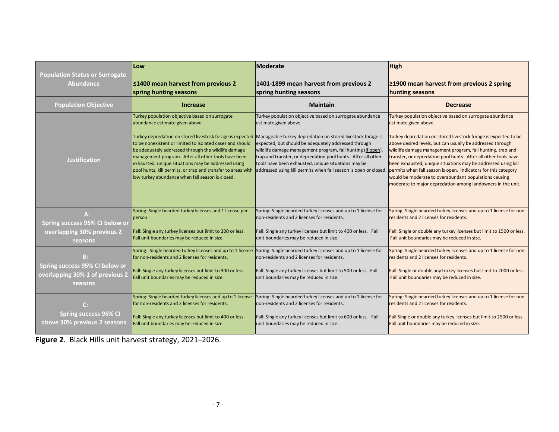|                                                                         | Low                                                                                                                                                                                                                                                                                                                                                                                                                                                                                                  | <b>Moderate</b>                                                                                                                                                                                                                                                                                                                                                                                                                                                     | High                                                                                                                                                                                                                                                                                                                                                                                                                                                                                                                                                                                                           |
|-------------------------------------------------------------------------|------------------------------------------------------------------------------------------------------------------------------------------------------------------------------------------------------------------------------------------------------------------------------------------------------------------------------------------------------------------------------------------------------------------------------------------------------------------------------------------------------|---------------------------------------------------------------------------------------------------------------------------------------------------------------------------------------------------------------------------------------------------------------------------------------------------------------------------------------------------------------------------------------------------------------------------------------------------------------------|----------------------------------------------------------------------------------------------------------------------------------------------------------------------------------------------------------------------------------------------------------------------------------------------------------------------------------------------------------------------------------------------------------------------------------------------------------------------------------------------------------------------------------------------------------------------------------------------------------------|
| <b>Population Status or Surrogate</b>                                   | ≤1400 mean harvest from previous 2                                                                                                                                                                                                                                                                                                                                                                                                                                                                   | 1401-1899 mean harvest from previous 2                                                                                                                                                                                                                                                                                                                                                                                                                              | $\geq$ 1900 mean harvest from previous 2 spring                                                                                                                                                                                                                                                                                                                                                                                                                                                                                                                                                                |
| <b>Abundance</b>                                                        | spring hunting seasons                                                                                                                                                                                                                                                                                                                                                                                                                                                                               | spring hunting seasons                                                                                                                                                                                                                                                                                                                                                                                                                                              | hunting seasons                                                                                                                                                                                                                                                                                                                                                                                                                                                                                                                                                                                                |
| <b>Population Objective</b>                                             | <b>Increase</b>                                                                                                                                                                                                                                                                                                                                                                                                                                                                                      | <b>Maintain</b>                                                                                                                                                                                                                                                                                                                                                                                                                                                     | <b>Decrease</b>                                                                                                                                                                                                                                                                                                                                                                                                                                                                                                                                                                                                |
| <b>Justification</b>                                                    | Turkey population objective based on surrogate<br>abundance estimate given above.<br>Turkey depredation on stored livestock forage is expected<br>to be nonexistent or limited to isolated cases and should<br>be adequately addressed through the wildlife damage<br>management program. After all other tools have been<br>exhausted, unique situations may be addressed using<br>pool hunts, kill permits, or trap and transfer to areas with<br>low turkey abundance when fall season is closed. | Turkey population objective based on surrogate abundance<br>estimate given above.<br>Manageable turkey depredation on stored livestock forage is<br>expected, but should be adequately addressed through<br>wildlife damage management program, fall hunting (if open),<br>trap and transfer, or depredation pool hunts. After all other<br>tools have been exhausted, unique situations may be<br>addressed using kill permits when fall season is open or closed. | Turkey population objective based on surrogate abundance<br>estimate given above.<br>Turkey depredation on stored livestock forage is expected to be<br>above desired levels, but can usually be addressed through<br>wildlife damage management program, fall hunting, trap and<br>transfer, or depredation pool hunts. After all other tools have<br>been exhausted, unique situations may be addressed using kill<br>permits when fall season is open. Indicators for this category<br>would be moderate to overabundant populations causing<br>moderate to major depredation among landowners in the unit. |
| $A$ :                                                                   | Spring: Single bearded turkey licenses and 1 license per                                                                                                                                                                                                                                                                                                                                                                                                                                             | Spring: Single bearded turkey licenses and up to 1 license for                                                                                                                                                                                                                                                                                                                                                                                                      | Spring: Single bearded turkey licenses and up to 1 license for non-                                                                                                                                                                                                                                                                                                                                                                                                                                                                                                                                            |
| Spring success 95% CI below or                                          | person.                                                                                                                                                                                                                                                                                                                                                                                                                                                                                              | non-residents and 2 licenses for residents.                                                                                                                                                                                                                                                                                                                                                                                                                         | residents and 2 licenses for residents.                                                                                                                                                                                                                                                                                                                                                                                                                                                                                                                                                                        |
| overlapping 30% previous 2                                              | Fall: Single any turkey licenses but limit to 200 or less.                                                                                                                                                                                                                                                                                                                                                                                                                                           | Fall: Single any turkey licenses but limit to 400 or less. Fall                                                                                                                                                                                                                                                                                                                                                                                                     | Fall: Single or double any turkey licenses but limit to 1500 or less.                                                                                                                                                                                                                                                                                                                                                                                                                                                                                                                                          |
| seasons                                                                 | Fall unit boundaries may be reduced in size.                                                                                                                                                                                                                                                                                                                                                                                                                                                         | unit boundaries may be reduced in size.                                                                                                                                                                                                                                                                                                                                                                                                                             | Fall unit boundaries may be reduced in size.                                                                                                                                                                                                                                                                                                                                                                                                                                                                                                                                                                   |
| B:                                                                      | Spring: Single bearded turkey licenses and up to 1 license                                                                                                                                                                                                                                                                                                                                                                                                                                           | Spring: Single bearded turkey licenses and up to 1 license for                                                                                                                                                                                                                                                                                                                                                                                                      | Spring: Single bearded turkey licenses and up to 1 license for non-                                                                                                                                                                                                                                                                                                                                                                                                                                                                                                                                            |
| Spring success 95% CI below or                                          | for non-residents and 2 licenses for residents.                                                                                                                                                                                                                                                                                                                                                                                                                                                      | non-residents and 2 licenses for residents.                                                                                                                                                                                                                                                                                                                                                                                                                         | residents and 2 licenses for residents.                                                                                                                                                                                                                                                                                                                                                                                                                                                                                                                                                                        |
| overlapping 30% 1 of previous 2                                         | Fall: Single any turkey licenses but limit to 300 or less.                                                                                                                                                                                                                                                                                                                                                                                                                                           | Fall: Single any turkey licenses but limit to 500 or less. Fall                                                                                                                                                                                                                                                                                                                                                                                                     | Fall: Single or double any turkey licenses but limit to 2000 or less.                                                                                                                                                                                                                                                                                                                                                                                                                                                                                                                                          |
| seasons                                                                 | Fall unit boundaries may be reduced in size.                                                                                                                                                                                                                                                                                                                                                                                                                                                         | unit boundaries may be reduced in size.                                                                                                                                                                                                                                                                                                                                                                                                                             | Fall unit boundaries may be reduced in size.                                                                                                                                                                                                                                                                                                                                                                                                                                                                                                                                                                   |
| $\mathsf{C}$ :<br>Spring success 95% CI<br>above 30% previous 2 seasons | Spring: Single bearded turkey licenses and up to 1 license<br>for non-residents and 2 licenses for residents.<br>Fall: Single any turkey licenses but limit to 400 or less.<br>Fall unit boundaries may be reduced in size.                                                                                                                                                                                                                                                                          | Spring: Single bearded turkey licenses and up to 1 license for<br>non-residents and 2 licenses for residents.<br>Fall: Single any turkey licenses but limit to 600 or less. Fall<br>unit boundaries may be reduced in size.                                                                                                                                                                                                                                         | Spring: Single bearded turkey licenses and up to 1 license for non-<br>residents and 2 licenses for residents.<br>Fall:Single or double any turkey licenses but limit to 2500 or less.<br>Fall unit boundaries may be reduced in size.                                                                                                                                                                                                                                                                                                                                                                         |

**Figure 2.** Black Hills unit harvest strategy, 2021–2026.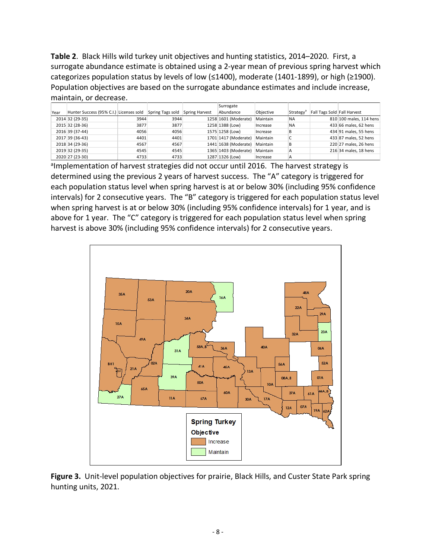**Table 2**. Black Hills wild turkey unit objectives and hunting statistics, 2014–2020. First, a surrogate abundance estimate is obtained using a 2-year mean of previous spring harvest which categorizes population status by levels of low (≤1400), moderate (1401-1899), or high (≥1900). Population objectives are based on the surrogate abundance estimates and include increase, maintain, or decrease.

|      |                                         |      |                  |                       | Surrogate            |           |                       |                             |                         |
|------|-----------------------------------------|------|------------------|-----------------------|----------------------|-----------|-----------------------|-----------------------------|-------------------------|
| Year | Hunter Success (95% C.I.) Licenses sold |      | Spring Tags sold | <b>Spring Harvest</b> | Abundance            | Objective | Strategy <sup>®</sup> | Fall Tags Sold Fall Harvest |                         |
|      | 2014 32 (29-35)                         | 3944 | 3944             |                       | 1258 1601 (Moderate) | Maintain  | <b>NA</b>             |                             | 810 100 males, 114 hens |
|      | 2015 32 (28-36)                         | 3877 | 3877             |                       | 1258 1388 (Low)      | Increase  | <b>NA</b>             |                             | 433 66 males, 62 hens   |
|      | 2016 39 (37-44)                         | 4056 | 4056             |                       | 1575 1258 (Low)      | Increase  | В                     |                             | 434 91 males, 55 hens   |
|      | 2017 39 (36-43)                         | 4401 | 4401             |                       | 1701 1417 (Moderate) | Maintain  | ◡                     |                             | 433 87 males, 52 hens   |
|      | 2018 34 (29-36)                         | 4567 | 4567             |                       | 1441 1638 (Moderate) | Maintain  | B                     |                             | 220 27 males, 26 hens   |
|      | 2019 32 (29-35)                         | 4545 | 4545             |                       | 1365 1403 (Moderate) | Maintain  | A                     |                             | 216 34 males, 18 hens   |
|      | 2020 27 (23-30)                         | 4733 | 4733             |                       | 1287 1326 (Low)      | Increase  | A                     |                             |                         |

almplementation of harvest strategies did not occur until 2016. The harvest strategy is determined using the previous 2 years of harvest success. The "A" category is triggered for each population status level when spring harvest is at or below 30% (including 95% confidence intervals) for 2 consecutive years. The "B" category is triggered for each population status level when spring harvest is at or below 30% (including 95% confidence intervals) for 1 year, and is above for 1 year. The "C" category is triggered for each population status level when spring harvest is above 30% (including 95% confidence intervals) for 2 consecutive years.



**Figure 3.** Unit-level population objectives for prairie, Black Hills, and Custer State Park spring hunting units, 2021.